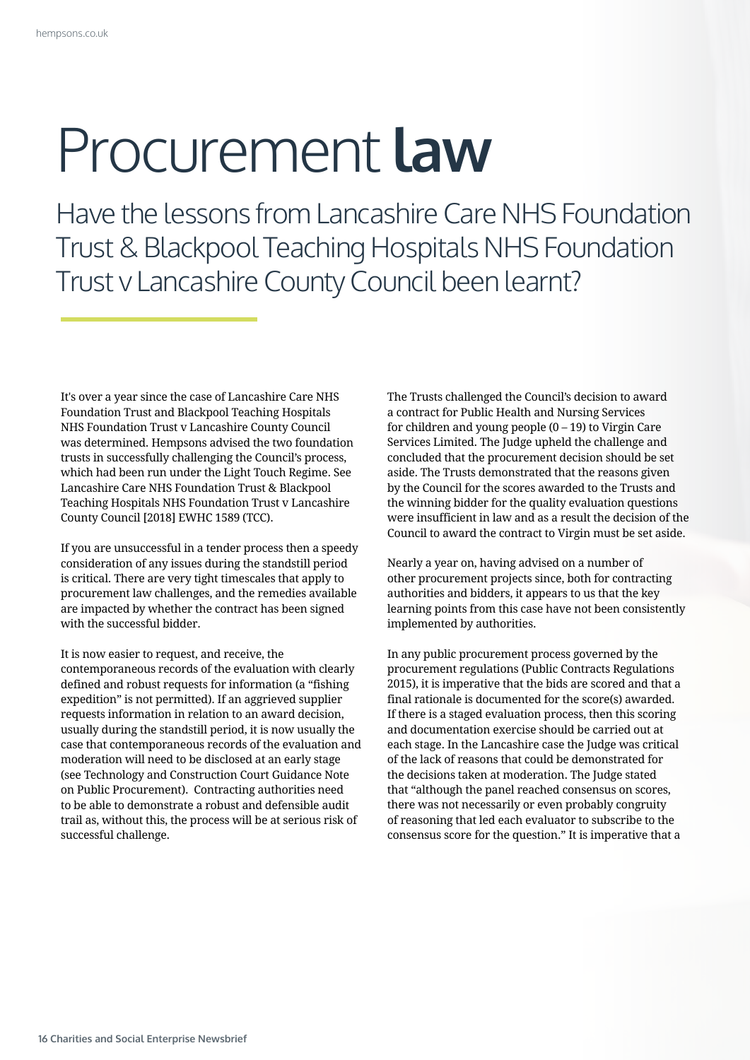## Procurement **law**

Have the lessons from Lancashire Care NHS Foundation Trust & Blackpool Teaching Hospitals NHS Foundation Trust v Lancashire County Council been learnt?

It's over a year since the case of Lancashire Care NHS Foundation Trust and Blackpool Teaching Hospitals NHS Foundation Trust v Lancashire County Council was determined. Hempsons advised the two foundation trusts in successfully challenging the Council's process, which had been run under the Light Touch Regime. See Lancashire Care NHS Foundation Trust & Blackpool Teaching Hospitals NHS Foundation Trust v Lancashire County Council [2018] EWHC 1589 (TCC).

If you are unsuccessful in a tender process then a speedy consideration of any issues during the standstill period is critical. There are very tight timescales that apply to procurement law challenges, and the remedies available are impacted by whether the contract has been signed with the successful bidder.

It is now easier to request, and receive, the contemporaneous records of the evaluation with clearly defined and robust requests for information (a "fishing expedition" is not permitted). If an aggrieved supplier requests information in relation to an award decision, usually during the standstill period, it is now usually the case that contemporaneous records of the evaluation and moderation will need to be disclosed at an early stage (see Technology and Construction Court Guidance Note on Public Procurement). Contracting authorities need to be able to demonstrate a robust and defensible audit trail as, without this, the process will be at serious risk of successful challenge.

The Trusts challenged the Council's decision to award a contract for Public Health and Nursing Services for children and young people  $(0 - 19)$  to Virgin Care Services Limited. The Judge upheld the challenge and concluded that the procurement decision should be set aside. The Trusts demonstrated that the reasons given by the Council for the scores awarded to the Trusts and the winning bidder for the quality evaluation questions were insufficient in law and as a result the decision of the Council to award the contract to Virgin must be set aside.

Nearly a year on, having advised on a number of other procurement projects since, both for contracting authorities and bidders, it appears to us that the key learning points from this case have not been consistently implemented by authorities.

In any public procurement process governed by the procurement regulations (Public Contracts Regulations 2015), it is imperative that the bids are scored and that a final rationale is documented for the score(s) awarded. If there is a staged evaluation process, then this scoring and documentation exercise should be carried out at each stage. In the Lancashire case the Judge was critical of the lack of reasons that could be demonstrated for the decisions taken at moderation. The Judge stated that "although the panel reached consensus on scores, there was not necessarily or even probably congruity of reasoning that led each evaluator to subscribe to the consensus score for the question." It is imperative that a